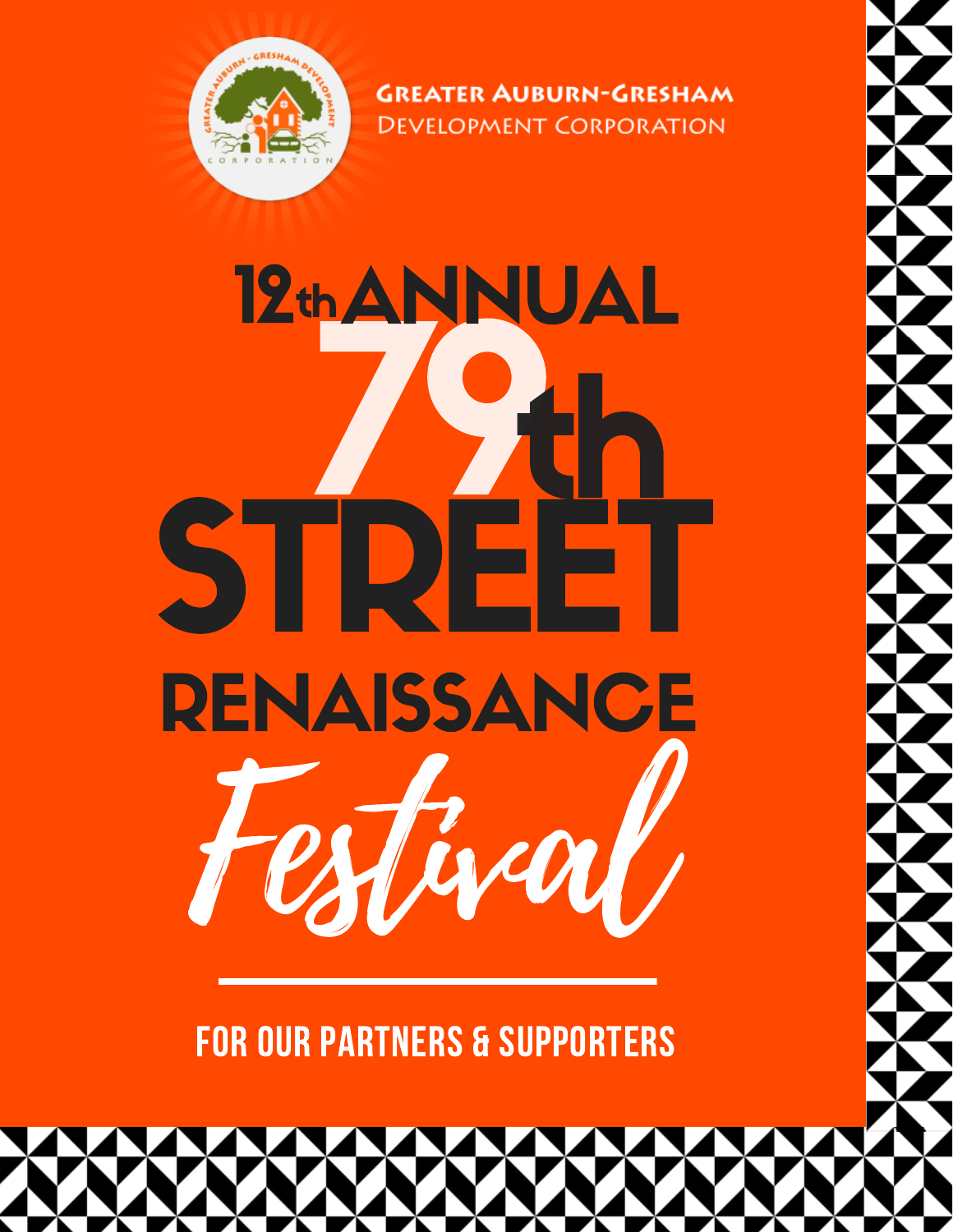

**GREATER AUBURN-GRESHAM DEVELOPMENT CORPORATION** 

12th ANNUAL SI **RENAISSANCE** 

**FOR OUR PARTNERS & SUPPORTERS**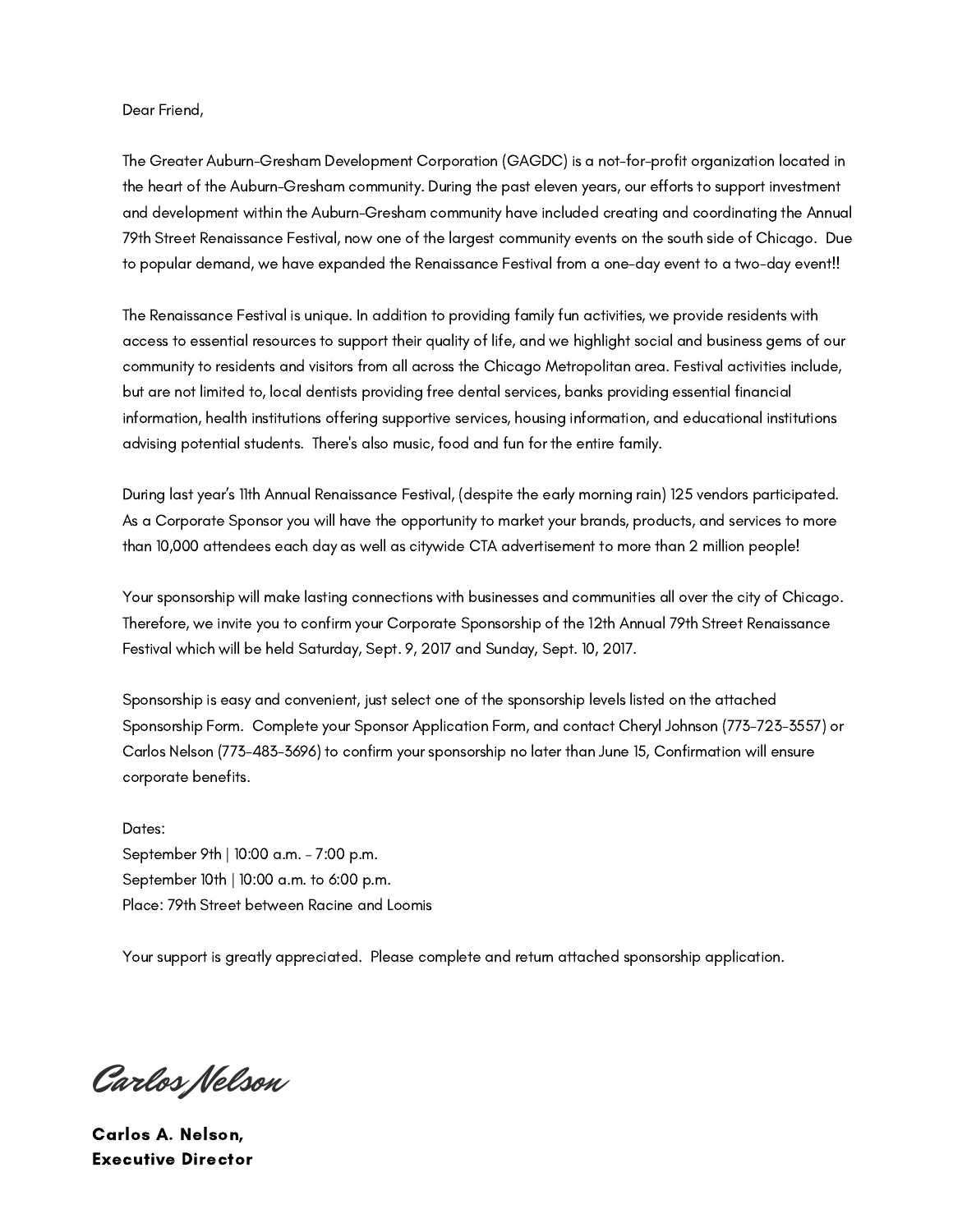#### Dear Friend,

The Greater Auburn-Gresham Development Corporation (GAGDC) is a not-for-profit organization located in the heart of the Auburn-Gresham community. During the past eleven years, our efforts to support investment and development within the Auburn-Gresham community have included creating and coordinating the Annual 79th Street Renaissance Festival, now one of the largest community events on the south side of Chicago. Due to popular demand, we have expanded the Renaissance Festival from a one-day event to a two-day event!!

The Renaissance Festival is unique. In addition to providing family fun activities, we provide residents with access to essential resources to support their quality of life, and we highlight social and business gems of our community to residents and visitors from all across the Chicago Metropolitan area. Festival activities include, but are not limited to, local dentists providing free dental services, banks providing essential financial information, health institutions offering supportive services, housing information, and educational institutions advising potential students. There's also music, food and fun for the entire family.

During last year's 11th Annual Renaissance Festival, (despite the early morning rain) 125 vendors participated. As a Corporate Sponsor you will have the opportunity to market your brands, products, and services to more than 10,000 attendees each day as well as citywide CTA advertisement to more than 2 million people!

Your sponsorship will make lasting connections with businesses and communities all over the city of Chicago. Therefore, we invite you to confirm your Corporate Sponsorship of the 12th Annual 79th Street Renaissance Festival which will be held Saturday, Sept. 9, 2017 and Sunday, Sept. 10, 2017.

Sponsorship is easy and convenient, just select one of the sponsorship levels listed on the attached Sponsorship Form. Complete your Sponsor Application Form, and contact Cheryl Johnson (773-723-3557) or Carlos Nelson (773-483-3696) to confirm your sponsorship no later than June 15, Confirmation will ensure corporate benefits.

Dates: September 9th | 10:00 a.m. – 7:00 p.m. September 10th | 10:00 a.m. to 6:00 p.m. Place: 79th Street between Racine and Loomis

Your support is greatly appreciated. Please complete and return attached sponsorship application.

Carlos Nelson

Carlos A. Nelson, Executive Director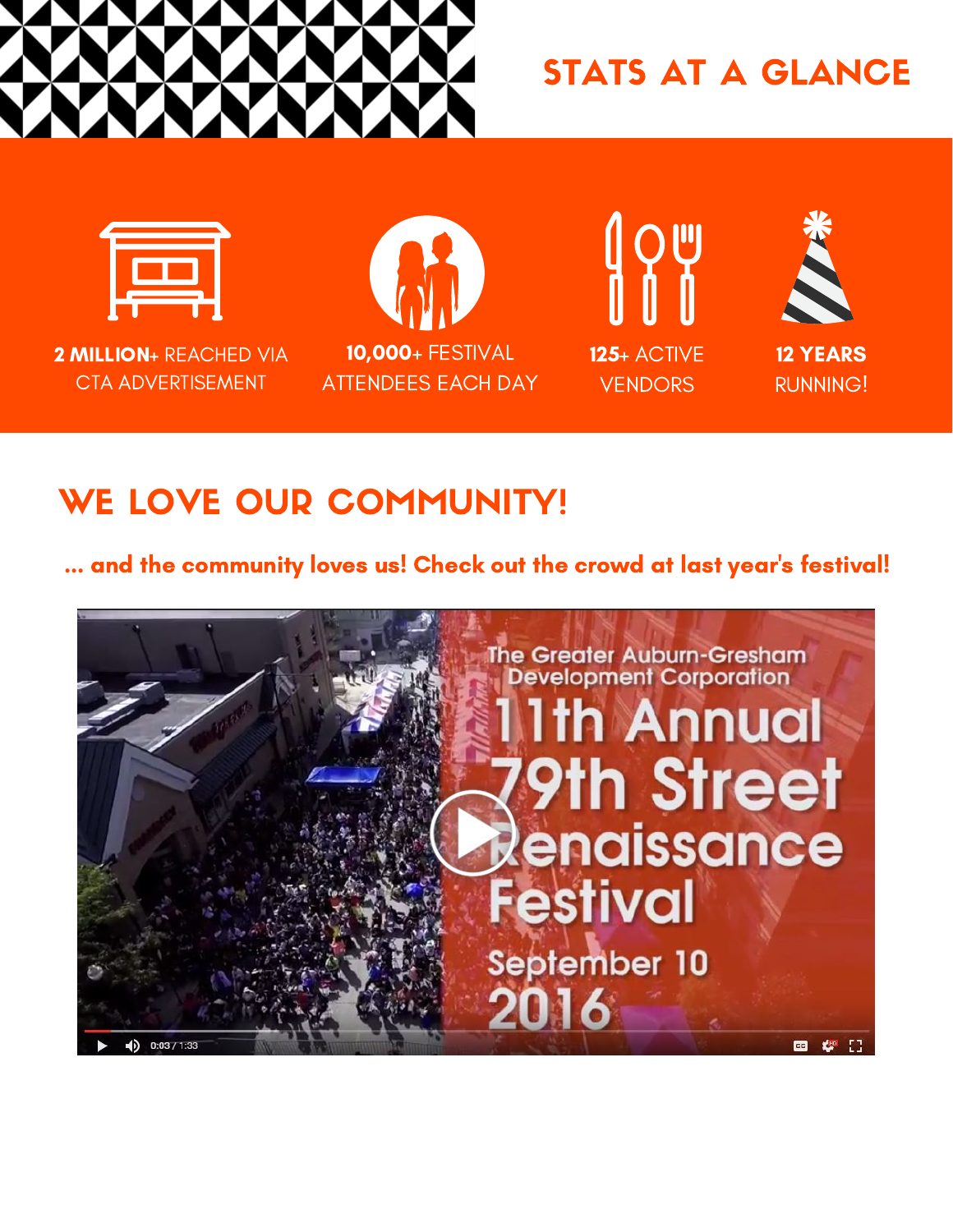

### STATS AT A GLANCE



2 MILLION+ REACHED VIA CTA ADVERTISEMENT







## WE LOVE OUR COMMUNITY!

... and the community loves us! Check out the crowd at last year's festival!

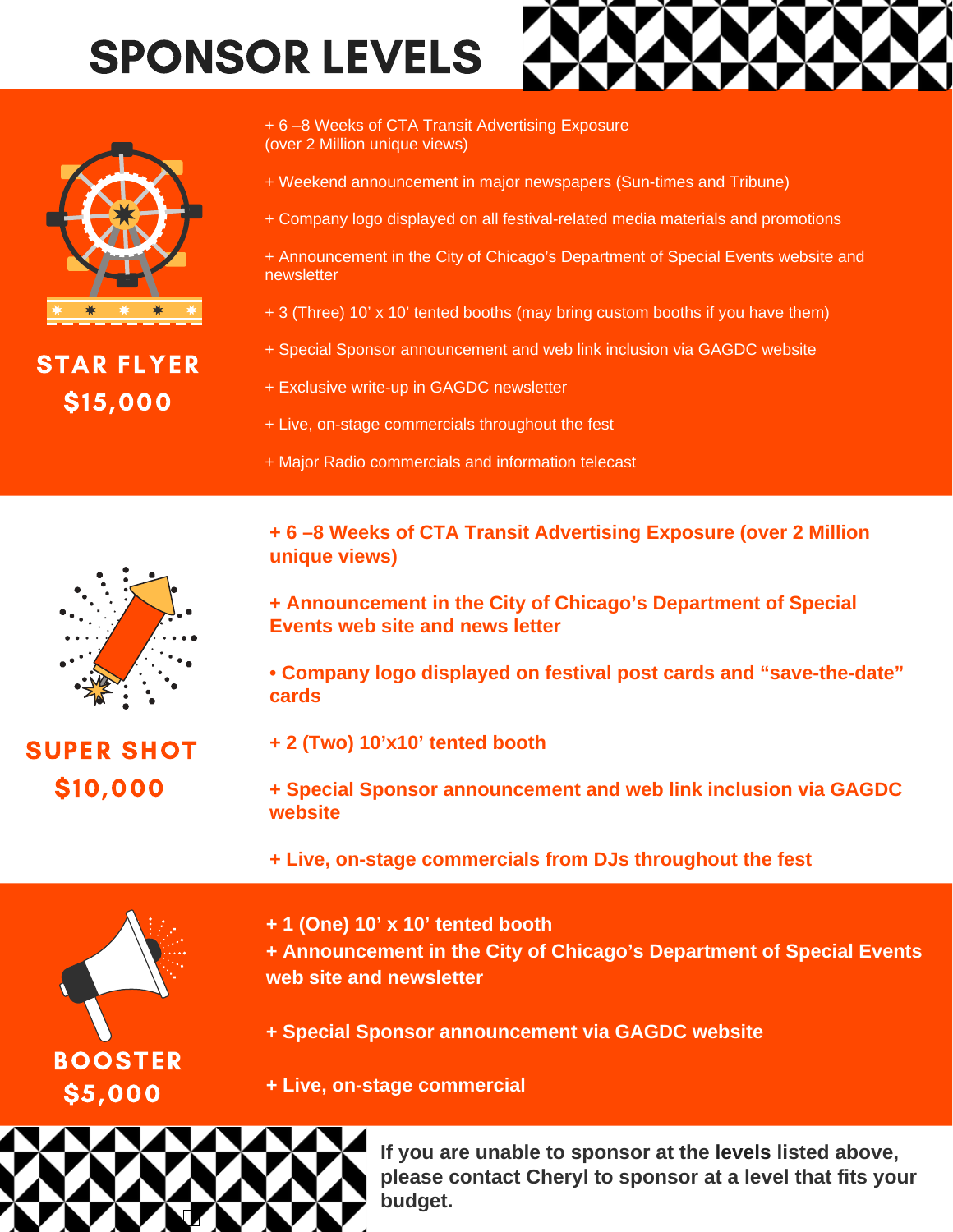## SPONSOR LEVELS



STAR FLYER \$15,000

+ 6 –8 Weeks of CTA Transit Advertising Exposure (over 2 Million unique views)

- + Weekend announcement in major newspapers (Sun-times and Tribune)
- + Company logo displayed on all festival-related media materials and promotions
- + Announcement in the City of Chicago's Department of Special Events website and newsletter
- + 3 (Three) 10' x 10' tented booths (may bring custom booths if you have them)
- + Special Sponsor announcement and web link inclusion via GAGDC website
- + Exclusive write-up in GAGDC newsletter
- + Live, on-stage commercials throughout the fest
- + Major Radio commercials and information telecast

**+ 6 –8 Weeks of CTA Transit Advertising Exposure (over 2 Million unique views)**

**+ Announcement in the City of Chicago's Department of Special Events web site and news letter**

**• Company logo displayed on festival post cards and "save-the-date" cards**

SUPER SHOT \$10,000

**+ 2 (Two) 10'x10' tented booth**

**+ Special Sponsor announcement and web link inclusion via GAGDC website**

**+ Live, on-stage commercials from DJs throughout the fest**



**+ 1 (One) 10' x 10' tented booth**

**+ Announcement in the City of Chicago's Department of Special Events web site and newsletter**

**+ Special Sponsor announcement via GAGDC website**

**+ Live, on-stage commercial**



**If you are unable to sponsor at the levels listed above, please contact Cheryl to sponsor at a level that fits your budget.**

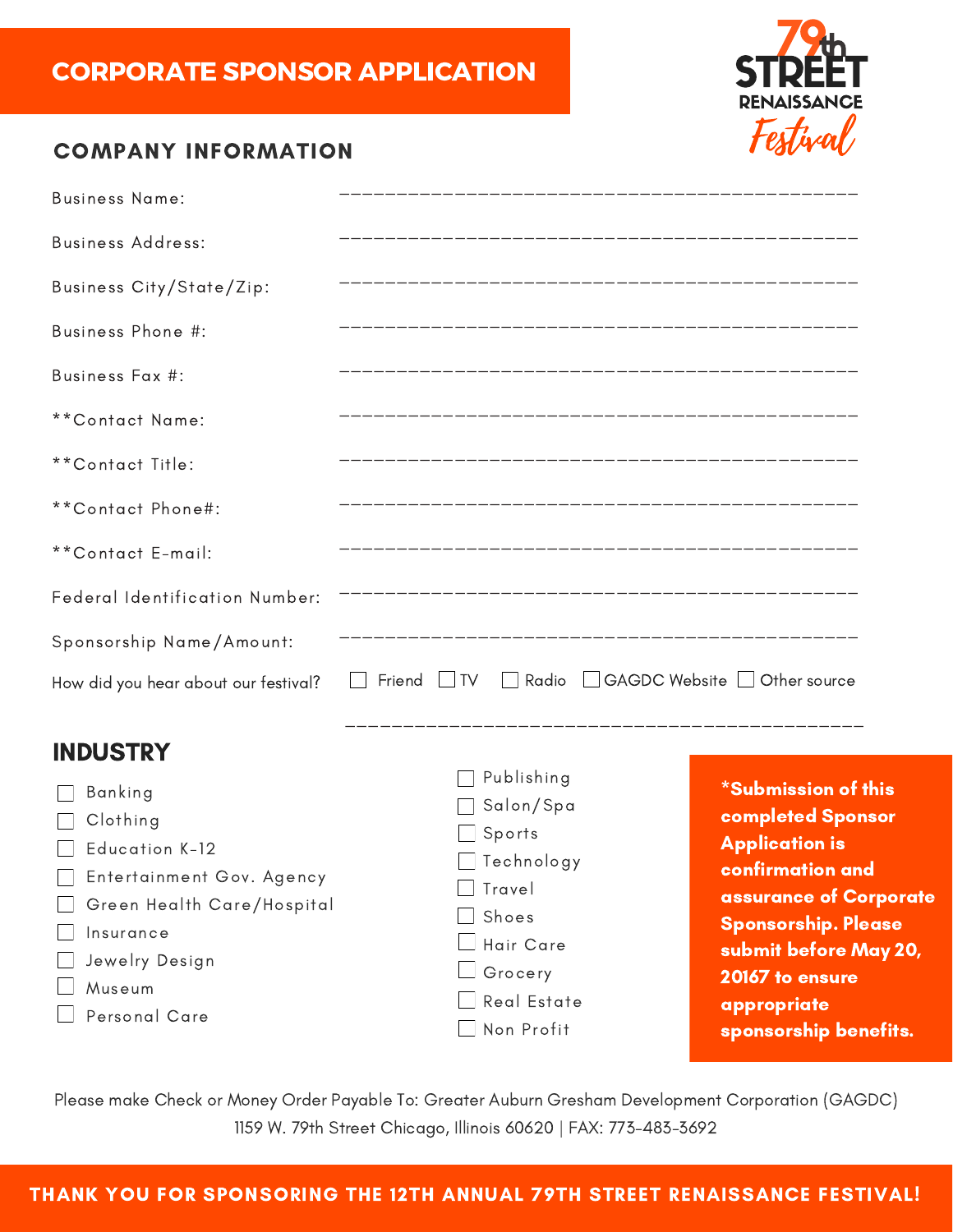

### COMPANY INFORMATION

| <b>Business Name:</b>                                                                                                                     |                                                                                                           |                                                                                                                                                                                                                        |
|-------------------------------------------------------------------------------------------------------------------------------------------|-----------------------------------------------------------------------------------------------------------|------------------------------------------------------------------------------------------------------------------------------------------------------------------------------------------------------------------------|
| <b>Business Address:</b>                                                                                                                  |                                                                                                           |                                                                                                                                                                                                                        |
| Business City/State/Zip:                                                                                                                  |                                                                                                           |                                                                                                                                                                                                                        |
| Business Phone #:                                                                                                                         |                                                                                                           |                                                                                                                                                                                                                        |
| Business Fax #:                                                                                                                           |                                                                                                           |                                                                                                                                                                                                                        |
| **Contact Name:                                                                                                                           |                                                                                                           |                                                                                                                                                                                                                        |
| **Contact Title:                                                                                                                          |                                                                                                           |                                                                                                                                                                                                                        |
| **Contact Phone#:                                                                                                                         |                                                                                                           |                                                                                                                                                                                                                        |
| **Contact E-mail:                                                                                                                         |                                                                                                           |                                                                                                                                                                                                                        |
| Federal Identification Number:                                                                                                            |                                                                                                           |                                                                                                                                                                                                                        |
| Sponsorship Name/Amount:                                                                                                                  |                                                                                                           |                                                                                                                                                                                                                        |
| How did you hear about our festival?                                                                                                      | □ Friend IV Radio GAGDC Website Other source                                                              |                                                                                                                                                                                                                        |
| <b>INDUSTRY</b>                                                                                                                           |                                                                                                           |                                                                                                                                                                                                                        |
| Banking<br>Clothing<br>Education K-12<br>Entertainment Gov. Agency<br>Green Health Care/Hospital<br>Insurance<br>Jewelry Design<br>Museum | Publishing<br>Salon/Spa<br>Sports<br>Technology<br>Travel<br>Shoes<br>Hair Care<br>Grocery<br>Real Estate | <b>*Submission of this</b><br><b>completed Sponsor</b><br><b>Application is</b><br>confirmation and<br>assurance of Corporate<br><b>Sponsorship. Please</b><br>submit before May 20,<br>20167 to ensure<br>appropriate |
| Personal Care                                                                                                                             | Non Profit                                                                                                | sponsorship benefits.                                                                                                                                                                                                  |

Please make Check or Money Order Payable To: Greater Auburn Gresham Development Corporation (GAGDC) 1159 W. 79th Street Chicago, Illinois 60620 | FAX: 773-483-3692